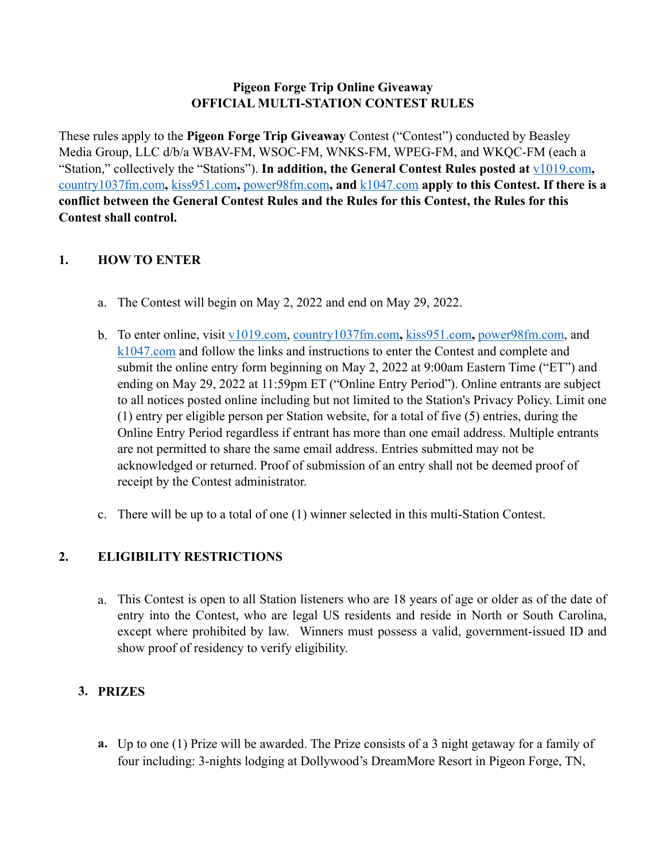#### **Pigeon Forge Trip Online Giveaway OFFICIAL MULTI-STATION CONTEST RULES**

These rules apply to the **Pigeon Forge Trip Giveaway** Contest ("Contest") conducted by Beasley Media Group, LLC d/b/a WBAV-FM, WSOC-FM, WNKS-FM, WPEG-FM, and WKQC-FM (each a "Station," collectively the "Stations"). **In addition, the General Contest Rules posted at** [v1019.com](http://v1019.com)**,**  [country1037fm.com](http://country1037fm.com)**,** [kiss951.com](http://kiss951.com)**,** [power98fm.com](http://power98fm.com)**, and** [k1047.com](http://k1047.com) **apply to this Contest. If there is a conflict between the General Contest Rules and the Rules for this Contest, the Rules for this Contest shall control.** 

### **1. HOW TO ENTER**

- a. The Contest will begin on May 2, 2022 and end on May 29, 2022.
- b. To enter online, visit [v1019.com,](http://v1019.com) [country1037fm.com](http://country1037fm.com)**,** [kiss951.com](http://kiss951.com)**,** [power98fm.com,](http://power98fm.com) and [k1047.com](http://k1047.com) and follow the links and instructions to enter the Contest and complete and submit the online entry form beginning on May 2, 2022 at 9:00am Eastern Time ("ET") and ending on May 29, 2022 at 11:59pm ET ("Online Entry Period"). Online entrants are subject to all notices posted online including but not limited to the Station's Privacy Policy. Limit one (1) entry per eligible person per Station website, for a total of five (5) entries, during the Online Entry Period regardless if entrant has more than one email address. Multiple entrants are not permitted to share the same email address. Entries submitted may not be acknowledged or returned. Proof of submission of an entry shall not be deemed proof of receipt by the Contest administrator.
- c. There will be up to a total of one (1) winner selected in this multi-Station Contest.

# **2. ELIGIBILITY RESTRICTIONS**

a. This Contest is open to all Station listeners who are 18 years of age or older as of the date of entry into the Contest, who are legal US residents and reside in North or South Carolina, except where prohibited by law. Winners must possess a valid, government-issued ID and show proof of residency to verify eligibility.

# **3. PRIZES**

**a.** Up to one (1) Prize will be awarded. The Prize consists of a 3 night getaway for a family of four including: 3-nights lodging at Dollywood's DreamMore Resort in Pigeon Forge, TN,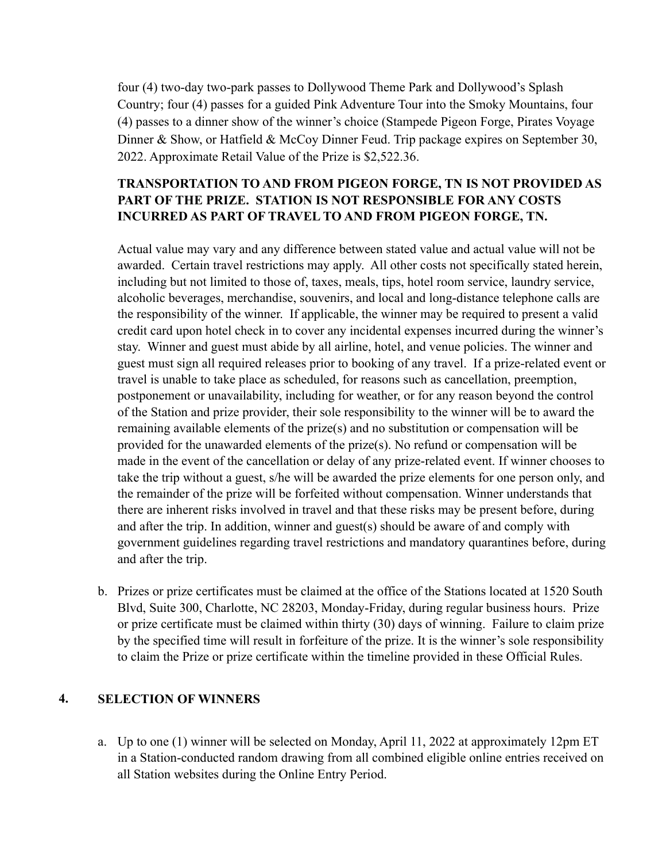four (4) two-day two-park passes to Dollywood Theme Park and Dollywood's Splash Country; four (4) passes for a guided Pink Adventure Tour into the Smoky Mountains, four (4) passes to a dinner show of the winner's choice (Stampede Pigeon Forge, Pirates Voyage Dinner & Show, or Hatfield & McCoy Dinner Feud. Trip package expires on September 30, 2022. Approximate Retail Value of the Prize is \$2,522.36.

### **TRANSPORTATION TO AND FROM PIGEON FORGE, TN IS NOT PROVIDED AS PART OF THE PRIZE. STATION IS NOT RESPONSIBLE FOR ANY COSTS INCURRED AS PART OF TRAVEL TO AND FROM PIGEON FORGE, TN.**

Actual value may vary and any difference between stated value and actual value will not be awarded. Certain travel restrictions may apply. All other costs not specifically stated herein, including but not limited to those of, taxes, meals, tips, hotel room service, laundry service, alcoholic beverages, merchandise, souvenirs, and local and long-distance telephone calls are the responsibility of the winner. If applicable, the winner may be required to present a valid credit card upon hotel check in to cover any incidental expenses incurred during the winner's stay. Winner and guest must abide by all airline, hotel, and venue policies. The winner and guest must sign all required releases prior to booking of any travel. If a prize-related event or travel is unable to take place as scheduled, for reasons such as cancellation, preemption, postponement or unavailability, including for weather, or for any reason beyond the control of the Station and prize provider, their sole responsibility to the winner will be to award the remaining available elements of the prize(s) and no substitution or compensation will be provided for the unawarded elements of the prize(s). No refund or compensation will be made in the event of the cancellation or delay of any prize-related event. If winner chooses to take the trip without a guest, s/he will be awarded the prize elements for one person only, and the remainder of the prize will be forfeited without compensation. Winner understands that there are inherent risks involved in travel and that these risks may be present before, during and after the trip. In addition, winner and guest(s) should be aware of and comply with government guidelines regarding travel restrictions and mandatory quarantines before, during and after the trip.

b. Prizes or prize certificates must be claimed at the office of the Stations located at 1520 South Blvd, Suite 300, Charlotte, NC 28203, Monday-Friday, during regular business hours. Prize or prize certificate must be claimed within thirty (30) days of winning. Failure to claim prize by the specified time will result in forfeiture of the prize. It is the winner's sole responsibility to claim the Prize or prize certificate within the timeline provided in these Official Rules.

# **4. SELECTION OF WINNERS**

a. Up to one (1) winner will be selected on Monday, April 11, 2022 at approximately 12pm ET in a Station-conducted random drawing from all combined eligible online entries received on all Station websites during the Online Entry Period.